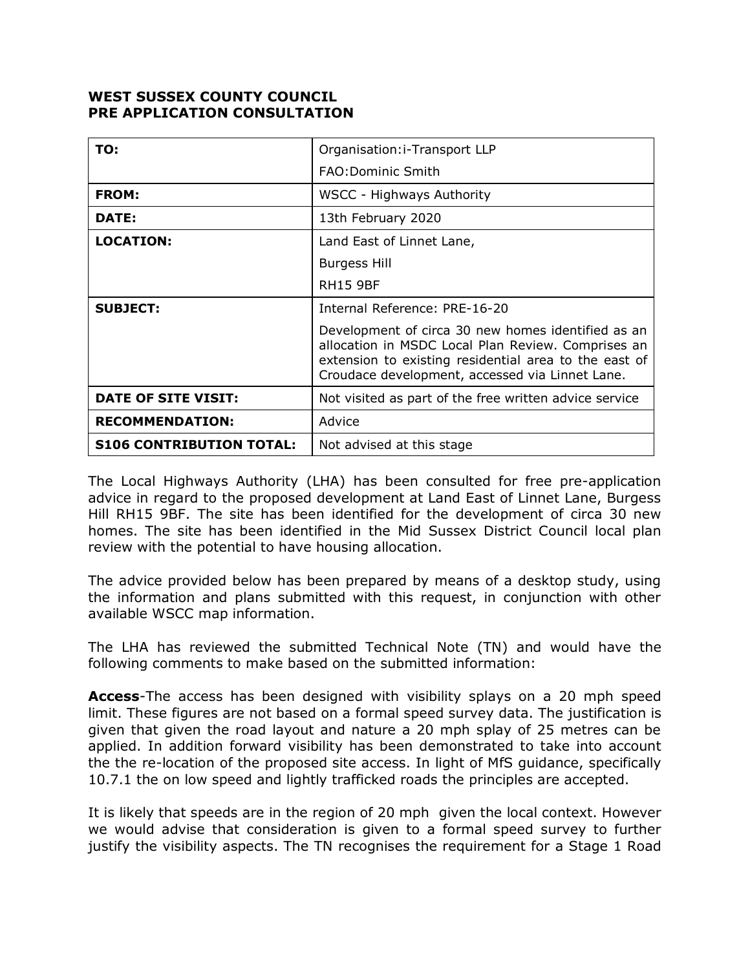## **WEST SUSSEX COUNTY COUNCIL PRE APPLICATION CONSULTATION**

| TO:                             | Organisation: i-Transport LLP                                                                                                                                                                                        |
|---------------------------------|----------------------------------------------------------------------------------------------------------------------------------------------------------------------------------------------------------------------|
|                                 | <b>FAO:Dominic Smith</b>                                                                                                                                                                                             |
| <b>FROM:</b>                    | WSCC - Highways Authority                                                                                                                                                                                            |
| DATE:                           | 13th February 2020                                                                                                                                                                                                   |
| <b>LOCATION:</b>                | Land East of Linnet Lane,                                                                                                                                                                                            |
|                                 | Burgess Hill                                                                                                                                                                                                         |
|                                 | <b>RH15 9BF</b>                                                                                                                                                                                                      |
| <b>SUBJECT:</b>                 | Internal Reference: PRE-16-20                                                                                                                                                                                        |
|                                 | Development of circa 30 new homes identified as an<br>allocation in MSDC Local Plan Review. Comprises an<br>extension to existing residential area to the east of<br>Croudace development, accessed via Linnet Lane. |
| <b>DATE OF SITE VISIT:</b>      | Not visited as part of the free written advice service                                                                                                                                                               |
| <b>RECOMMENDATION:</b>          | Advice                                                                                                                                                                                                               |
| <b>S106 CONTRIBUTION TOTAL:</b> | Not advised at this stage                                                                                                                                                                                            |

The Local Highways Authority (LHA) has been consulted for free pre-application advice in regard to the proposed development at Land East of Linnet Lane, Burgess Hill RH15 9BF. The site has been identified for the development of circa 30 new homes. The site has been identified in the Mid Sussex District Council local plan review with the potential to have housing allocation.

The advice provided below has been prepared by means of a desktop study, using the information and plans submitted with this request, in conjunction with other available WSCC map information.

The LHA has reviewed the submitted Technical Note (TN) and would have the following comments to make based on the submitted information:

**Access**-The access has been designed with visibility splays on a 20 mph speed limit. These figures are not based on a formal speed survey data. The justification is given that given the road layout and nature a 20 mph splay of 25 metres can be applied. In addition forward visibility has been demonstrated to take into account the the re-location of the proposed site access. In light of MfS guidance, specifically 10.7.1 the on low speed and lightly trafficked roads the principles are accepted.

It is likely that speeds are in the region of 20 mph given the local context. However we would advise that consideration is given to a formal speed survey to further justify the visibility aspects. The TN recognises the requirement for a Stage 1 Road